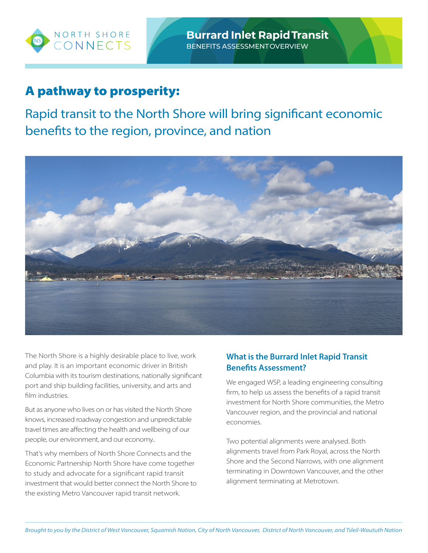

# A pathway to prosperity:

Rapid transit to the North Shore will bring significant economic benefits to the region, province, and nation



The North Shore is a highly desirable place to live, work and play. It is an important economic driver in British Columbia with its tourism destinations, nationally significant port and ship building facilities, university, and arts and film industries.

But as anyone who lives on or has visited the North Shore knows, increased roadway congestion and unpredictable travel times are affecting the health and wellbeing of our people, our environment, and our economy..

That's why members of North Shore Connects and the Economic Partnership North Shore have come together to study and advocate for a significant rapid transit investment that would better connect the North Shore to the existing Metro Vancouver rapid transit network.

## **What is the Burrard Inlet Rapid Transit Benefits Assessment?**

We engaged WSP, a leading engineering consulting firm, to help us assess the benefits of a rapid transit investment for North Shore communities, the Metro Vancouver region, and the provincial and national economies.

Two potential alignments were analysed. Both alignments travel from Park Royal, across the North Shore and the Second Narrows, with one alignment terminating in Downtown Vancouver, and the other alignment terminating at Metrotown.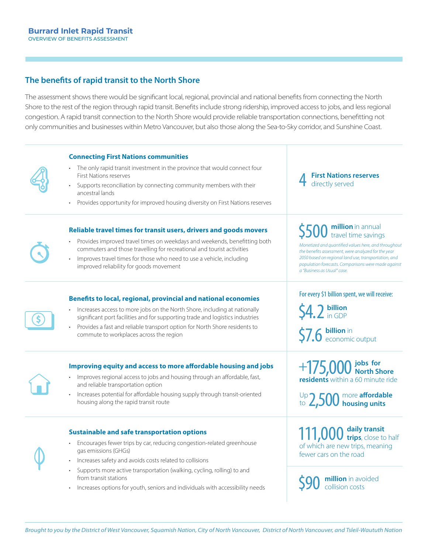### **The benefits of rapid transit to the North Shore**

The assessment shows there would be significant local, regional, provincial and national benefits from connecting the North Shore to the rest of the region through rapid transit. Benefits include strong ridership, improved access to jobs, and less regional congestion. A rapid transit connection to the North Shore would provide reliable transportation connections, benefitting not only communities and businesses within Metro Vancouver, but also those along the Sea-to-Sky corridor, and Sunshine Coast.

#### **Connecting First Nations communities**

- The only rapid transit investment in the province that would connect four First Nations reserves
- Supports reconciliation by connecting community members with their ancestral lands
- Provides opportunity for improved housing diversity on First Nations reserves

#### **Reliable travel times for transit users, drivers and goods movers**

- Provides improved travel times on weekdays and weekends, benefitting both commuters and those travelling for recreational and tourist activities
- Improves travel times for those who need to use a vehicle, including improved reliability for goods movement

#### **Benefits to local, regional, provincial and national economies**

- Increases access to more jobs on the North Shore, including at nationally significant port facilities and for supporting trade and logistics industries
- Provides a fast and reliable transport option for North Shore residents to commute to workplaces across the region



\$

#### **Improving equity and access to more affordable housing and jobs**

- Improves regional access to jobs and housing through an affordable, fast, and reliable transportation option
- Increases potential for affordable housing supply through transit-oriented housing along the rapid transit route

#### **Sustainable and safe transportation options**

- Encourages fewer trips by car, reducing congestion-related greenhouse gas emissions (GHGs)
- Increases safety and avoids costs related to collisions
- Supports more active transportation (walking, cycling, rolling) to and from transit stations
- Increases options for youth, seniors and individuals with accessibility needs

#### 4 **First Nations reserves** directly served

# \$500 million in annual<br>savings

*Monetized and quantified values here, and throughout the benefits assessment, were analyzed for the year 2050 based on regional land use, transportation, and population forecasts. Comparisons were made against a "Business as Usual" case.*

#### For every \$1 billion spent, we will receive:

\$4.2 **billion** in GDP

\$7.6 **billion** in

+175,000 **jobs for North Shore residents** within a 60 minute ride

2,500 more **affordable housing units** Up to

111,000 daily transit<br> **trips**, close to half of which are new trips, meaning fewer cars on the road